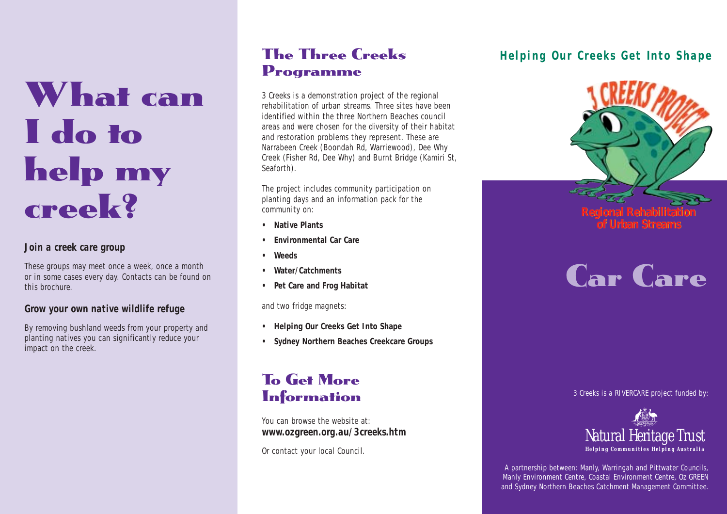# What can I do to help my creek?

#### *Join a creek care group*

These groups may meet once a week, once a month or in some cases every day. Contacts can be found on this brochure.

#### *Grow your own native wildlife refuge*

By removing bushland weeds from your property and planting natives you can significantly reduce your impact on the creek.

## The Three Creeks Programme

3 Creeks is a demonstration project of the regional rehabilitation of urban streams. Three sites have been identified within the three Northern Beaches council areas and were chosen for the diversity of their habitat and restoration problems they represent. These are Narrabeen Creek (Boondah Rd, Warriewood), Dee Why Creek (Fisher Rd, Dee Why) and Burnt Bridge (Kamiri St, Seaforth).

The project includes community participation on planting days and an information pack for the community on:

- **• Native Plants**
- **• Environmental Car Care**
- **Weeds**
- **Water/Catchments**
- **Pet Care and Frog Habitat**

and two fridge magnets:

- **• Helping Our Creeks Get Into Shape**
- **Sydney Northern Beaches Creekcare Groups**

## To Get More **Information**

You can browse the website at: *www.ozgreen.org.au/3creeks.htm*

Or contact your local Council.

### *Helping Our Creeks Get Into Shape*



# Car Care

3 Creeks is a RIVERCARE project funded by:



A partnership between: Manly, Warringah and Pittwater Councils, Manly Environment Centre, Coastal Environment Centre, Oz GREEN and Sydney Northern Beaches Catchment Management Committee.